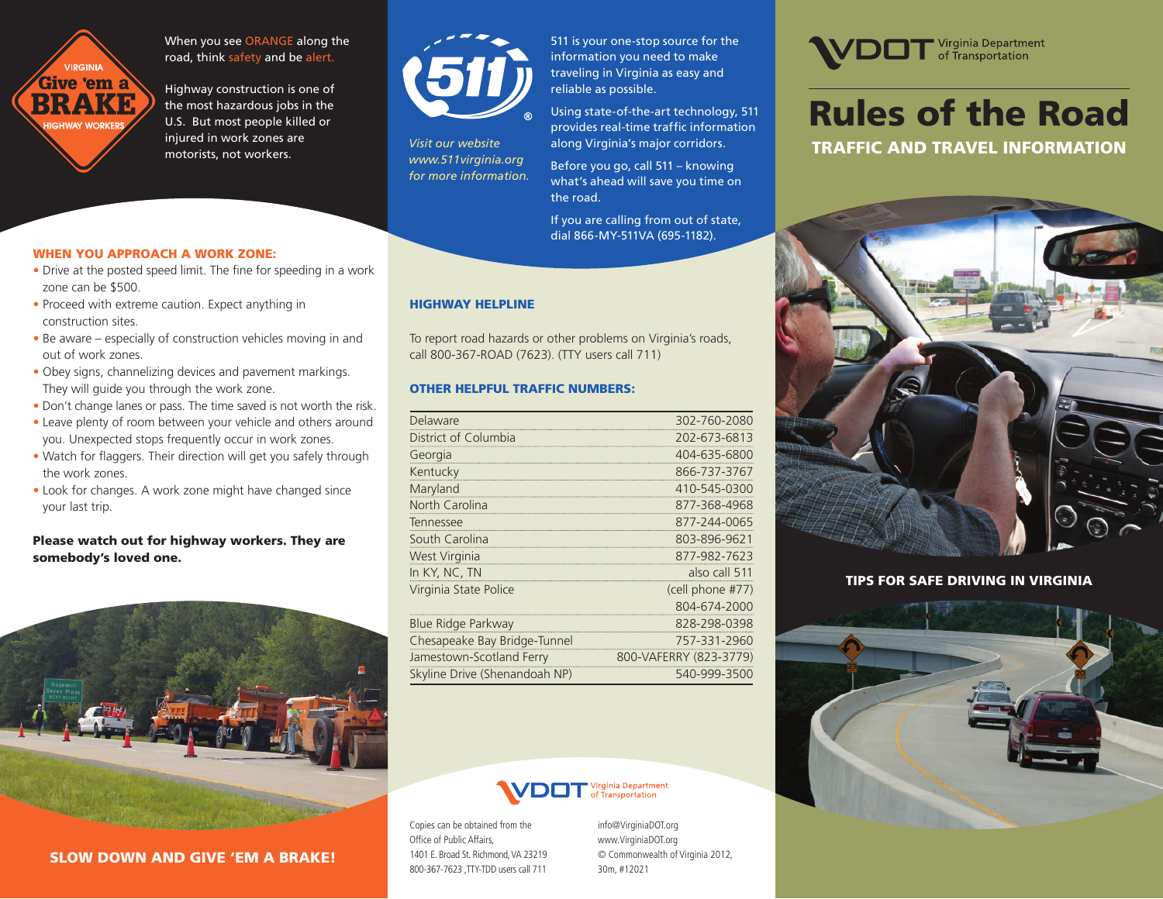

When you see ORANGE along the road, think safety and be alert.

Highway construction is one of the most hazardous jobs in the U.S. But most people killed or injured in work zones are motorists, not workers.



*Visit our website www.511virginia.org for more information.*  511 is your one-stop source for the information you need to make traveling in Virginia as easy and reliable as possible.

Using state-of-the-art technology, 511 provides real-time traffic information along Virginia's major corridors.

Before you go, call 511 – knowing what's ahead will save you time on the road.

If you are calling from out of state, dial 866-MY-511VA (695-1182).

## HIGHWAY HELPLINE

To report road hazards or other problems on Virginia's roads, call 800-367-ROAD (7623). (TTY users call 711)

#### OTHER HELPFUL TRAFFIC NUMBERS:

| Delaware                      | 302-760-2080           |
|-------------------------------|------------------------|
| District of Columbia          | 202-673-6813           |
| Georgia                       | 404-635-6800           |
| Kentucky                      | 866-737-3767           |
| Maryland                      | 410-545-0300           |
| North Carolina                | 877-368-4968           |
| Tennessee                     | 877-244-0065           |
| South Carolina                | 803-896-9621           |
| West Virginia                 | 877-982-7623           |
| In KY, NC, TN                 | also call 511          |
| Virginia State Police         | (cell phone #77)       |
|                               | 804-674-2000           |
| <b>Blue Ridge Parkway</b>     | 828-298-0398           |
| Chesapeake Bay Bridge-Tunnel  | 757-331-2960           |
| Jamestown-Scotland Ferry      | 800-VAFERRY (823-3779) |
| Skyline Drive (Shenandoah NP) | 540-999-3500           |

# irginia Department<br>FTransportation

Copies can be obtained from the Office of Public Affairs, 1401 E. Broad St. Richmond, VA 23219 800-367-7623 TTY-TDD users call 711

info@VirginiaDOT.org www.VirginiaDOT.org © Commonwealth of Virginia 2012, 30m, #12021



# Rules of the Road TRAFFIC AND TRAVEL INFORMATION



# TIPS FOR SAFE DRIVING IN VIRGINIA



#### WHEN YOU APPROACH A WORK ZONE:

- Drive at the posted speed limit. The fine for speeding in a work zone can be \$500.
- Proceed with extreme caution. Expect anything in construction sites.
- Be aware especially of construction vehicles moving in and out of work zones.
- Obey signs, channelizing devices and pavement markings. They will guide you through the work zone.
- Don't change lanes or pass. The time saved is not worth the risk.
- Leave plenty of room between your vehicle and others around you. Unexpected stops frequently occur in work zones.
- Watch for flaggers. Their direction will get you safely through the work zones.
- Look for changes. A work zone might have changed since your last trip.

## Please watch out for highway workers. They are somebody's loved one.



# SLOW DOWN AND GIVE 'EM A BRAKE!